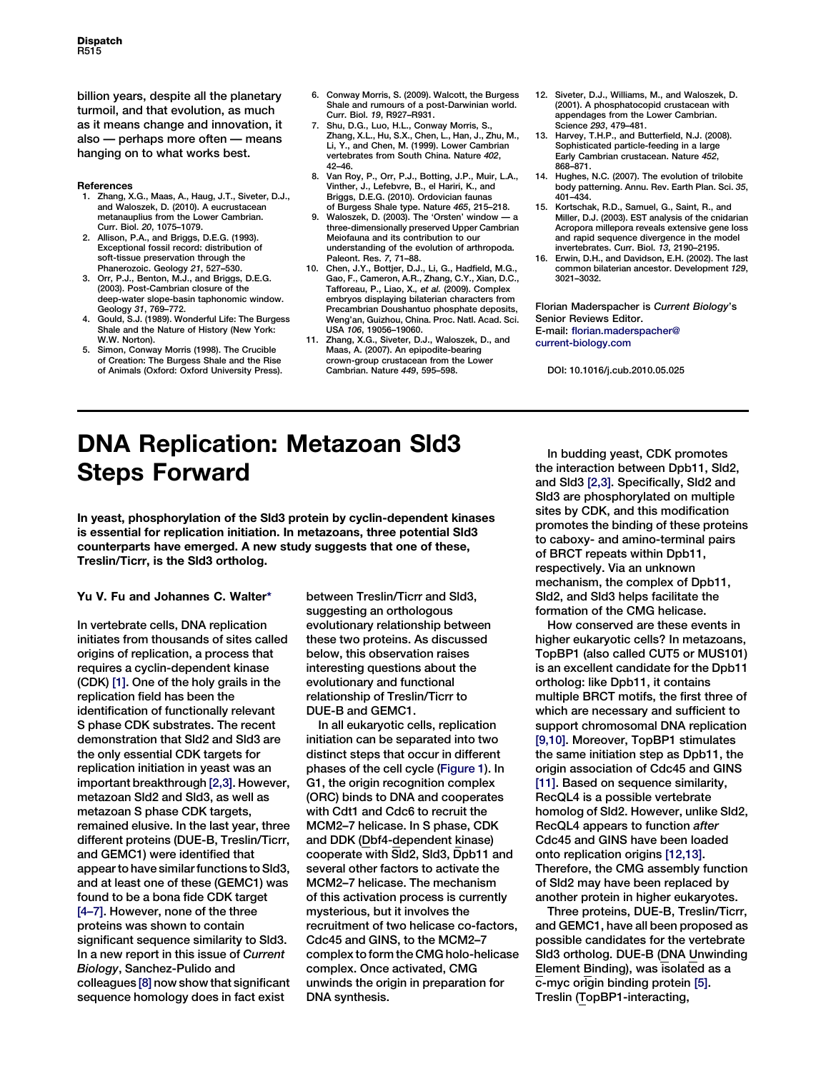billion years, despite all the planetary turmoil, and that evolution, as much as it means change and innovation, it also — perhaps more often — means hanging on to what works best.

#### **References**

- 1. Zhang, X.G., Maas, A., Haug, J.T., Siveter, D.J., and Waloszek, D. (2010). A eucrustacean metanauplius from the Lower Cambrian. Curr. Biol. 20, 1075–1079.
- 2. Allison, P.A., and Briggs, D.E.G. (1993). Exceptional fossil record: distribution of soft-tissue preservation through the Phanerozoic. Geology 21, 527–530.
- 3. Orr, P.J., Benton, M.J., and Briggs, D.E.G. (2003). Post-Cambrian closure of the deep-water slope-basin taphonomic window.
- Geology 31, 769–772. 4. Gould, S.J. (1989). Wonderful Life: The Burgess Shale and the Nature of History (New York: W.W. Norton).
- Simon, Conway Morris (1998). The Crucible of Creation: The Burgess Shale and the Rise of Animals (Oxford: Oxford University Press).
- 6. Conway Morris, S. (2009). Walcott, the Burgess Shale and rumours of a post-Darwinian world. Curr. Biol. 19, R927–R931.
- 7. Shu, D.G., Luo, H.L., Conway Morris, S., Zhang, X.L., Hu, S.X., Chen, L., Han, J., Zhu, M., Li, Y., and Chen, M. (1999). Lower Cambrian vertebrates from South China. Nature 402, 42–46.
- 8. Van Roy, P., Orr, P.J., Botting, J.P., Muir, L.A., Vinther, J., Lefebvre, B., el Hariri, K., and Briggs, D.E.G. (2010). Ordovician faunas of Burgess Shale type. Nature 465, 215–218.
- 9. Waloszek, D. (2003). The 'Orsten' window three-dimensionally preserved Upper Cambrian Meiofauna and its contribution to our understanding of the evolution of arthropoda. Paleont. Res. 7, 71–88.
- 10. Chen, J.Y., Bottjer, D.J., Li, G., Hadfield, M.G., Gao, F., Cameron, A.R., Zhang, C.Y., Xian, D.C., Tafforeau, P., Liao, X., et al. (2009). Complex embryos displaying bilaterian characters from Precambrian Doushantuo phosphate deposits, Weng'an, Guizhou, China. Proc. Natl. Acad. Sci. USA 106, 19056–19060.
- 11. Zhang, X.G., Siveter, D.J., Waloszek, D., and Maas, A. (2007). An epipodite-bearing crown-group crustacean from the Lower Cambrian. Nature 449, 595–598.
- 12. Siveter, D.J., Williams, M., and Waloszek, D. (2001). A phosphatocopid crustacean with appendages from the Lower Cambrian. Science 293, 479–481.
- 13. Harvey, T.H.P., and Butterfield, N.J. (2008). Sophisticated particle-feeding in a large Early Cambrian crustacean. Nature 452, 868–871.
- 14. Hughes, N.C. (2007). The evolution of trilobite body patterning. Annu. Rev. Earth Plan. Sci. 35, 401–434.
- 15. Kortschak, R.D., Samuel, G., Saint, R., and Miller, D.J. (2003). EST analysis of the cnidarian Acropora millepora reveals extensive gene loss and rapid sequence divergence in the model invertebrates. Curr. Biol. 13, 2190–2195.
- 16. Erwin, D.H., and Davidson, E.H. (2002). The last common bilaterian ancestor. Development 129, 3021–3032.

Florian Maderspacher is Current Biology's Senior Reviews Editor. E-mail: florian.maderspacher@ current-biology.com

DOI: 10.1016/j.cub.2010.05.025

## DNA Replication: Metazoan Sld3 Steps Forward

In yeast, phosphorylation of the Sld3 protein by cyclin-dependent kinases is essential for replication initiation. In metazoans, three potential Sld3 counterparts have emerged. A new study suggests that one of these, Treslin/Ticrr, is the Sld3 ortholog.

## Yu V. Fu and Johannes C. Walter[\\*](#page-2-0)

In vertebrate cells, DNA replication initiates from thousands of sites called origins of replication, a process that requires a cyclin-dependent kinase (CDK) [\[1\].](#page-2-0) One of the holy grails in the replication field has been the identification of functionally relevant S phase CDK substrates. The recent demonstration that Sld2 and Sld3 are the only essential CDK targets for replication initiation in yeast was an important breakthrough [\[2,3\].](#page-2-0) However, metazoan Sld2 and Sld3, as well as metazoan S phase CDK targets, remained elusive. In the last year, three different proteins (DUE-B, Treslin/Ticrr, and GEMC1) were identified that appear to have similar functions to Sld3, and at least one of these (GEMC1) was found to be a bona fide CDK target [\[4–7\].](#page-2-0) However, none of the three proteins was shown to contain significant sequence similarity to Sld3. In a new report in this issue of Current Biology, Sanchez-Pulido and colleagues [\[8\]](#page-2-0) now show that significant sequence homology does in fact exist

between Treslin/Ticrr and Sld3, suggesting an orthologous evolutionary relationship between these two proteins. As discussed below, this observation raises interesting questions about the evolutionary and functional relationship of Treslin/Ticrr to DUE-B and GEMC1.

In all eukaryotic cells, replication initiation can be separated into two distinct steps that occur in different phases of the cell cycle ([Figure 1\)](#page-1-0). In G1, the origin recognition complex (ORC) binds to DNA and cooperates with Cdt1 and Cdc6 to recruit the MCM2–7 helicase. In S phase, CDK and DDK (Dbf4-dependent kinase) cooperate with Sld2, Sld3, Dpb11 and several other factors to activate the MCM2–7 helicase. The mechanism of this activation process is currently mysterious, but it involves the recruitment of two helicase co-factors, Cdc45 and GINS, to the MCM2–7 complex to form the CMG holo-helicase complex. Once activated, CMG unwinds the origin in preparation for DNA synthesis.

In budding yeast, CDK promotes the interaction between Dpb11, Sld2, and Sld3 [\[2,3\]](#page-2-0). Specifically, Sld2 and Sld3 are phosphorylated on multiple sites by CDK, and this modification promotes the binding of these proteins to caboxy- and amino-terminal pairs of BRCT repeats within Dpb11, respectively. Via an unknown mechanism, the complex of Dpb11, Sld2, and Sld3 helps facilitate the formation of the CMG helicase.

How conserved are these events in higher eukaryotic cells? In metazoans, TopBP1 (also called CUT5 or MUS101) is an excellent candidate for the Dpb11 ortholog: like Dpb11, it contains multiple BRCT motifs, the first three of which are necessary and sufficient to support chromosomal DNA replication [\[9,10\]](#page-2-0). Moreover, TopBP1 stimulates the same initiation step as Dpb11, the origin association of Cdc45 and GINS [\[11\].](#page-2-0) Based on sequence similarity, RecQL4 is a possible vertebrate homolog of Sld2. However, unlike Sld2, RecQL4 appears to function after Cdc45 and GINS have been loaded onto replication origins [\[12,13\].](#page-2-0) Therefore, the CMG assembly function of Sld2 may have been replaced by another protein in higher eukaryotes.

Three proteins, DUE-B, Treslin/Ticrr, and GEMC1, have all been proposed as possible candidates for the vertebrate Sld3 ortholog. DUE-B (DNA Unwinding Element Binding), was isolated as a c-myc origin binding protein [\[5\]](#page-2-0). Treslin (TopBP1-interacting,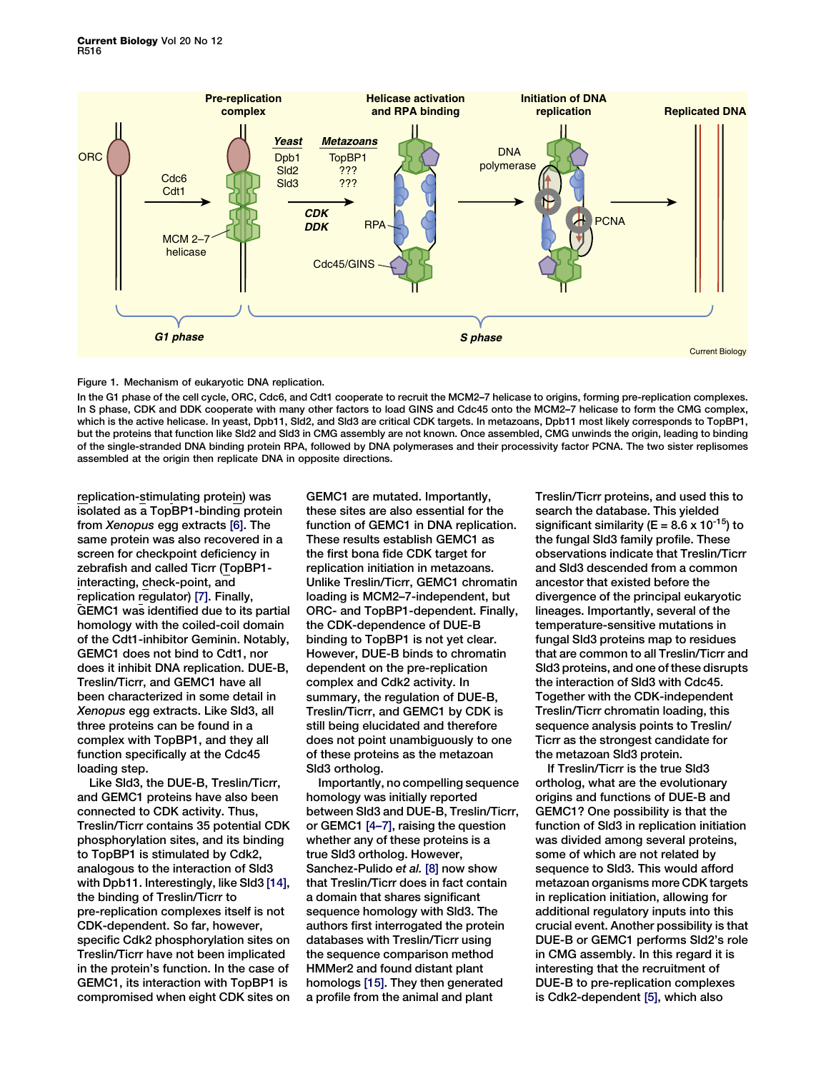<span id="page-1-0"></span>

### Figure 1. Mechanism of eukaryotic DNA replication.

In the G1 phase of the cell cycle, ORC, Cdc6, and Cdt1 cooperate to recruit the MCM2–7 helicase to origins, forming pre-replication complexes. In S phase, CDK and DDK cooperate with many other factors to load GINS and Cdc45 onto the MCM2–7 helicase to form the CMG complex, which is the active helicase. In yeast, Dpb11, Sld2, and Sld3 are critical CDK targets. In metazoans, Dpb11 most likely corresponds to TopBP1, but the proteins that function like Sld2 and Sld3 in CMG assembly are not known. Once assembled, CMG unwinds the origin, leading to binding of the single-stranded DNA binding protein RPA, followed by DNA polymerases and their processivity factor PCNA. The two sister replisomes assembled at the origin then replicate DNA in opposite directions.

replication-stimulating protein) was isolated as a TopBP1-binding protein from Xenopus egg extracts [\[6\].](#page-2-0) The same protein was also recovered in a screen for checkpoint deficiency in zebrafish and called Ticrr (TopBP1 interacting, check-point, and replication regulator) [\[7\].](#page-2-0) Finally, GEMC1 was identified due to its partial homology with the coiled-coil domain of the Cdt1-inhibitor Geminin. Notably, GEMC1 does not bind to Cdt1, nor does it inhibit DNA replication. DUE-B, Treslin/Ticrr, and GEMC1 have all been characterized in some detail in Xenopus egg extracts. Like Sld3, all three proteins can be found in a complex with TopBP1, and they all function specifically at the Cdc45 loading step.

Like Sld3, the DUE-B, Treslin/Ticrr, and GEMC1 proteins have also been connected to CDK activity. Thus, Treslin/Ticrr contains 35 potential CDK phosphorylation sites, and its binding to TopBP1 is stimulated by Cdk2, analogous to the interaction of Sld3 with Dpb11. Interestingly, like Sld3 [\[14\]](#page-2-0), the binding of Treslin/Ticrr to pre-replication complexes itself is not CDK-dependent. So far, however, specific Cdk2 phosphorylation sites on Treslin/Ticrr have not been implicated in the protein's function. In the case of GEMC1, its interaction with TopBP1 is compromised when eight CDK sites on GEMC1 are mutated. Importantly, these sites are also essential for the function of GEMC1 in DNA replication. These results establish GEMC1 as the first bona fide CDK target for replication initiation in metazoans. Unlike Treslin/Ticrr, GEMC1 chromatin loading is MCM2–7-independent, but ORC- and TopBP1-dependent. Finally, the CDK-dependence of DUE-B binding to TopBP1 is not yet clear. However, DUE-B binds to chromatin dependent on the pre-replication complex and Cdk2 activity. In summary, the regulation of DUE-B, Treslin/Ticrr, and GEMC1 by CDK is still being elucidated and therefore does not point unambiguously to one of these proteins as the metazoan Sld3 ortholog.

Importantly, no compelling sequence homology was initially reported between Sld3 and DUE-B, Treslin/Ticrr, or GEMC1 [\[4–7\]](#page-2-0), raising the question whether any of these proteins is a true Sld3 ortholog. However, Sanchez-Pulido et al. [\[8\]](#page-2-0) now show that Treslin/Ticrr does in fact contain a domain that shares significant sequence homology with Sld3. The authors first interrogated the protein databases with Treslin/Ticrr using the sequence comparison method HMMer2 and found distant plant homologs [\[15\].](#page-2-0) They then generated a profile from the animal and plant

Treslin/Ticrr proteins, and used this to search the database. This yielded significant similarity ( $E = 8.6 \times 10^{-15}$ ) to the fungal Sld3 family profile. These observations indicate that Treslin/Ticrr and Sld3 descended from a common ancestor that existed before the divergence of the principal eukaryotic lineages. Importantly, several of the temperature-sensitive mutations in fungal Sld3 proteins map to residues that are common to all Treslin/Ticrr and Sld3 proteins, and one of these disrupts the interaction of Sld3 with Cdc45. Together with the CDK-independent Treslin/Ticrr chromatin loading, this sequence analysis points to Treslin/ Ticrr as the strongest candidate for the metazoan Sld3 protein.

If Treslin/Ticrr is the true Sld3 ortholog, what are the evolutionary origins and functions of DUE-B and GEMC1? One possibility is that the function of Sld3 in replication initiation was divided among several proteins, some of which are not related by sequence to Sld3. This would afford metazoan organisms more CDK targets in replication initiation, allowing for additional regulatory inputs into this crucial event. Another possibility is that DUE-B or GEMC1 performs Sld2's role in CMG assembly. In this regard it is interesting that the recruitment of DUE-B to pre-replication complexes is Cdk2-dependent [\[5\]](#page-2-0), which also